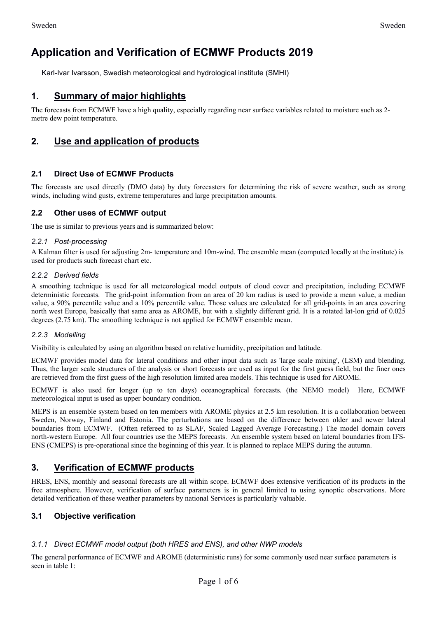# **Application and Verification of ECMWF Products 2019**

Karl-Ivar Ivarsson, Swedish meteorological and hydrological institute (SMHI)

# **1. Summary of major highlights**

The forecasts from ECMWF have a high quality, especially regarding near surface variables related to moisture such as 2 metre dew point temperature.

# **2. Use and application of products**

#### **2.1 Direct Use of ECMWF Products**

The forecasts are used directly (DMO data) by duty forecasters for determining the risk of severe weather, such as strong winds, including wind gusts, extreme temperatures and large precipitation amounts.

#### **2.2 Other uses of ECMWF output**

The use is similar to previous years and is summarized below:

#### *2.2.1 Post-processing*

A Kalman filter is used for adjusting 2m- temperature and 10m-wind. The ensemble mean (computed locally at the institute) is used for products such forecast chart etc.

#### *2.2.2 Derived fields*

A smoothing technique is used for all meteorological model outputs of cloud cover and precipitation, including ECMWF deterministic forecasts. The grid-point information from an area of 20 km radius is used to provide a mean value, a median value, a 90% percentile value and a 10% percentile value. Those values are calculated for all grid-points in an area covering north west Europe, basically that same area as AROME, but with a slightly different grid. It is a rotated lat-lon grid of 0.025 degrees (2.75 km). The smoothing technique is not applied for ECMWF ensemble mean.

#### *2.2.3 Modelling*

Visibility is calculated by using an algorithm based on relative humidity, precipitation and latitude.

ECMWF provides model data for lateral conditions and other input data such as 'large scale mixing', (LSM) and blending. Thus, the larger scale structures of the analysis or short forecasts are used as input for the first guess field, but the finer ones are retrieved from the first guess of the high resolution limited area models. This technique is used for AROME.

ECMWF is also used for longer (up to ten days) oceanographical forecasts. (the NEMO model) Here, ECMWF meteorological input is used as upper boundary condition.

MEPS is an ensemble system based on ten members with AROME physics at 2.5 km resolution. It is a collaboration between Sweden, Norway, Finland and Estonia. The perturbations are based on the difference between older and newer lateral boundaries from ECMWF. (Often refereed to as SLAF, Scaled Lagged Average Forecasting.) The model domain covers north-western Europe. All four countries use the MEPS forecasts. An ensemble system based on lateral boundaries from IFS-ENS (CMEPS) is pre-operational since the beginning of this year. It is planned to replace MEPS during the autumn.

### **3. Verification of ECMWF products**

HRES, ENS, monthly and seasonal forecasts are all within scope. ECMWF does extensive verification of its products in the free atmosphere. However, verification of surface parameters is in general limited to using synoptic observations. More detailed verification of these weather parameters by national Services is particularly valuable.

#### **3.1 Objective verification**

#### *3.1.1 Direct ECMWF model output (both HRES and ENS), and other NWP models*

The general performance of ECMWF and AROME (deterministic runs) for some commonly used near surface parameters is seen in table 1: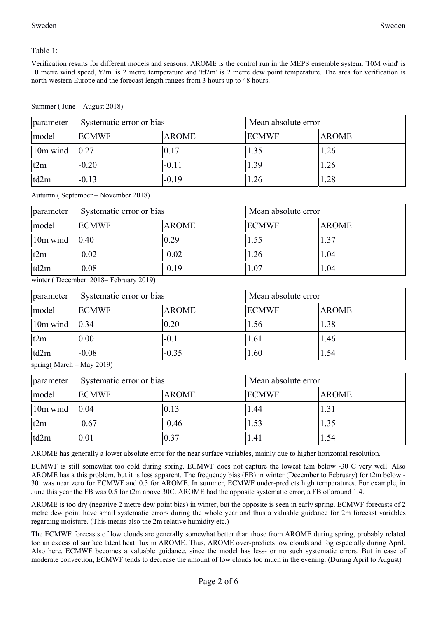Table 1:

Verification results for different models and seasons: AROME is the control run in the MEPS ensemble system. '10M wind' is 10 metre wind speed, 't2m' is 2 metre temperature and 'td2m' is 2 metre dew point temperature. The area for verification is north-western Europe and the forecast length ranges from 3 hours up to 48 hours.

| parameter | Systematic error or bias |              | Mean absolute error |              |
|-----------|--------------------------|--------------|---------------------|--------------|
| model     | <b>ECMWF</b>             | <b>AROME</b> | <b>ECMWF</b>        | <b>AROME</b> |
| 10m wind  | 0.27                     | 0.17         | 1.35                | 1.26         |
| t2m       | $-0.20$                  | $-0.11$      | 1.39                | 1.26         |
| td2m      | $-0.13$                  | $-0.19$      | 1.26                | .28          |

Autumn ( September – November 2018)

| parameter | Systematic error or bias |              | Mean absolute error |              |
|-----------|--------------------------|--------------|---------------------|--------------|
| model     | <b>ECMWF</b>             | <b>AROME</b> | <b>ECMWF</b>        | <b>AROME</b> |
| 10m wind  | $ 0.40\rangle$           | 0.29         | 1.55                | 1.37         |
| t2m       | $-0.02$                  | $-0.02$      | 1.26                | 1.04         |
| td2m      | $-0.08$                  | $-0.19$      | 1.07                | 1.04         |

winter ( December 2018– February 2019)

| parameter | Systematic error or bias |              | Mean absolute error |              |
|-----------|--------------------------|--------------|---------------------|--------------|
| model     | <b>ECMWF</b>             | <b>AROME</b> | <b>ECMWF</b>        | <b>AROME</b> |
| 10m wind  | 0.34                     | 0.20         | 1.56                | 1.38         |
| t2m       | 0.00                     | $-0.11$      | 1.61                | 1.46         |
| td2m      | $-0.08$                  | $-0.35$      | 1.60                | 1.54         |

| spring( $March - May 2019$ ) |  |
|------------------------------|--|

| parameter | Systematic error or bias |              | Mean absolute error |              |
|-----------|--------------------------|--------------|---------------------|--------------|
| model     | <b>ECMWF</b>             | <b>AROME</b> | <b>ECMWF</b>        | <b>AROME</b> |
| 10m wind  | 0.04                     | 0.13         | 1.44                | 1.31         |
| t2m       | $-0.67$                  | $-0.46$      | 1.53                | 1.35         |
| td2m      | 0.01                     | 0.37         | 1.41                | 1.54         |

AROME has generally a lower absolute error for the near surface variables, mainly due to higher horizontal resolution.

ECMWF is still somewhat too cold during spring. ECMWF does not capture the lowest t2m below -30 C very well. Also AROME has a this problem, but it is less apparent. The frequency bias (FB) in winter (December to February) for t2m below - 30 was near zero for ECMWF and 0.3 for AROME. In summer, ECMWF under-predicts high temperatures. For example, in June this year the FB was 0.5 for t2m above 30C. AROME had the opposite systematic error, a FB of around 1.4.

AROME is too dry (negative 2 metre dew point bias) in winter, but the opposite is seen in early spring. ECMWF forecasts of 2 metre dew point have small systematic errors during the whole year and thus a valuable guidance for 2m forecast variables regarding moisture. (This means also the 2m relative humidity etc.)

The ECMWF forecasts of low clouds are generally somewhat better than those from AROME during spring, probably related too an excess of surface latent heat flux in AROME. Thus, AROME over-predicts low clouds and fog especially during April. Also here, ECMWF becomes a valuable guidance, since the model has less- or no such systematic errors. But in case of moderate convection, ECMWF tends to decrease the amount of low clouds too much in the evening. (During April to August)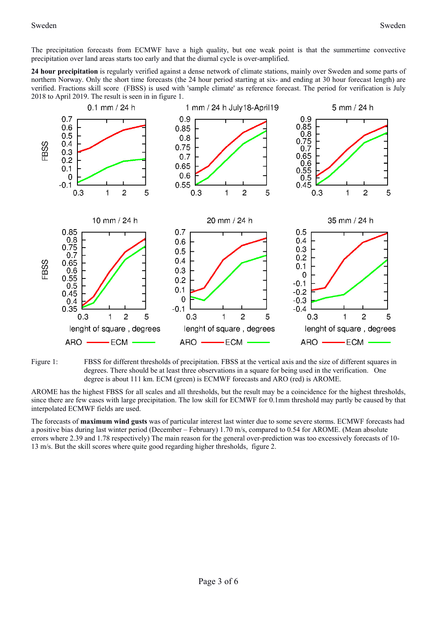The precipitation forecasts from ECMWF have a high quality, but one weak point is that the summertime convective precipitation over land areas starts too early and that the diurnal cycle is over-amplified.

**24 hour precipitation** is regularly verified against a dense network of climate stations, mainly over Sweden and some parts of northern Norway. Only the short time forecasts (the 24 hour period starting at six- and ending at 30 hour forecast length) are verified. Fractions skill score (FBSS) is used with 'sample climate' as reference forecast. The period for verification is July 2018 to April 2019. The result is seen in in figure 1.





AROME has the highest FBSS for all scales and all thresholds, but the result may be a coincidence for the highest thresholds, since there are few cases with large precipitation. The low skill for ECMWF for 0.1mm threshold may partly be caused by that interpolated ECMWF fields are used.

The forecasts of **maximum wind gusts** was of particular interest last winter due to some severe storms. ECMWF forecasts had a positive bias during last winter period (December – February) 1.70 m/s, compared to 0.54 for AROME. (Mean absolute errors where 2.39 and 1.78 respectively) The main reason for the general over-prediction was too excessively forecasts of 10- 13 m/s. But the skill scores where quite good regarding higher thresholds, figure 2.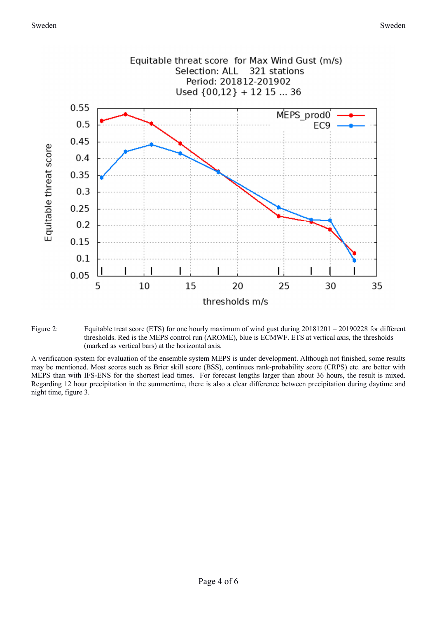

Figure 2: Equitable treat score (ETS) for one hourly maximum of wind gust during  $20181201 - 20190228$  for different thresholds. Red is the MEPS control run (AROME), blue is ECMWF. ETS at vertical axis, the thresholds (marked as vertical bars) at the horizontal axis.

A verification system for evaluation of the ensemble system MEPS is under development. Although not finished, some results may be mentioned. Most scores such as Brier skill score (BSS), continues rank-probability score (CRPS) etc. are better with MEPS than with IFS-ENS for the shortest lead times. For forecast lengths larger than about 36 hours, the result is mixed. Regarding 12 hour precipitation in the summertime, there is also a clear difference between precipitation during daytime and night time, figure 3.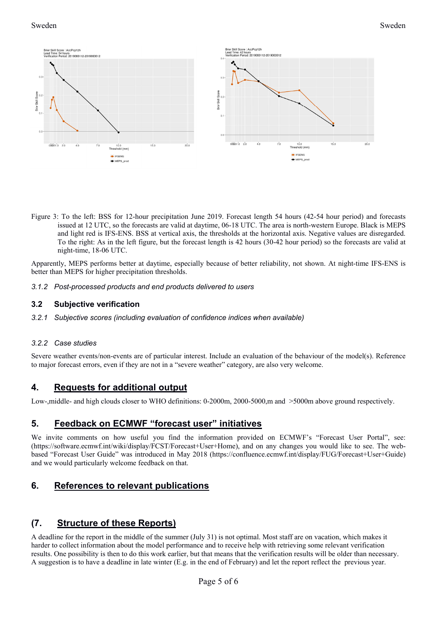

Figure 3: To the left: BSS for 12-hour precipitation June 2019. Forecast length 54 hours (42-54 hour period) and forecasts issued at 12 UTC, so the forecasts are valid at daytime, 06-18 UTC. The area is north-western Europe. Black is MEPS and light red is IFS-ENS. BSS at vertical axis, the thresholds at the horizontal axis. Negative values are disregarded. To the right: As in the left figure, but the forecast length is 42 hours (30-42 hour period) so the forecasts are valid at night-time, 18-06 UTC.

Apparently, MEPS performs better at daytime, especially because of better reliability, not shown. At night-time IFS-ENS is better than MEPS for higher precipitation thresholds.

*3.1.2 Post-processed products and end products delivered to users* 

#### **3.2 Subjective verification**

*3.2.1 Subjective scores (including evaluation of confidence indices when available)* 

#### *3.2.2 Case studies*

Severe weather events/non-events are of particular interest. Include an evaluation of the behaviour of the model(s). Reference to major forecast errors, even if they are not in a "severe weather" category, are also very welcome.

### **4. Requests for additional output**

Low-,middle- and high clouds closer to WHO definitions: 0-2000m, 2000-5000,m and  $>5000$ m above ground respectively.

# **5. Feedback on ECMWF "forecast user" initiatives**

We invite comments on how useful you find the information provided on ECMWF's "Forecast User Portal", see: (https://software.ecmwf.int/wiki/display/FCST/Forecast+User+Home), and on any changes you would like to see. The webbased "Forecast User Guide" was introduced in May 2018 (https://confluence.ecmwf.int/display/FUG/Forecast+User+Guide) and we would particularly welcome feedback on that.

# **6. References to relevant publications**

# **(7. Structure of these Reports)**

A deadline for the report in the middle of the summer (July 31) is not optimal. Most staff are on vacation, which makes it harder to collect information about the model performance and to receive help with retrieving some relevant verification results. One possibility is then to do this work earlier, but that means that the verification results will be older than necessary. A suggestion is to have a deadline in late winter (E.g. in the end of February) and let the report reflect the previous year.